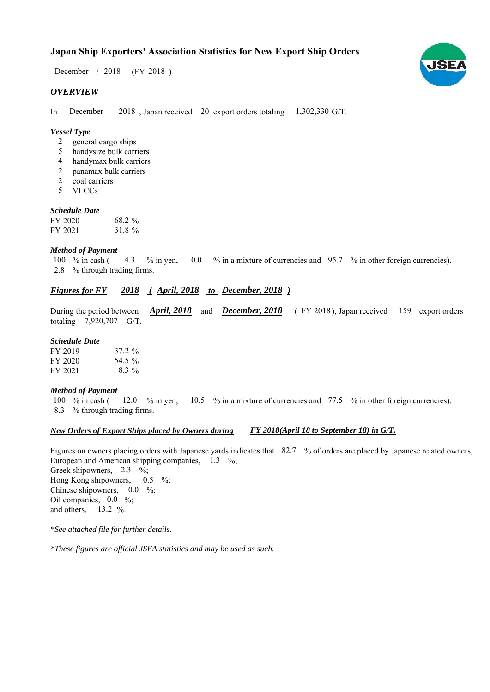# **Japan Ship Exporters' Association Statistics for New Export Ship Orders**

 $/ 2018$  (FY 2018) December / 2018

#### *OVERVIEW*

In December 2018, Japan received 20 export orders totaling  $1,302,330$  G/T. December

### *Vessel Type*

- general cargo ships  $\mathcal{L}$
- handysize bulk carriers 5
- handymax bulk carriers 4
- panamax bulk carriers 2
- coal carriers 2
- VLCCs 5

#### *Schedule Date*

| FY 2020 | 68.2 % |
|---------|--------|
| FY 2021 | 31.8 % |

#### *Method of Payment*

% in cash ( $\leq 4.3$  % in yen,  $\leq 0.0$  % in a mixture of currencies and  $\leq 95.7$  % in other foreign currencies). % through trading firms. 2.8 100  $%$  in cash ( 4.3

# *<u>Figures for FY 2018 (April, 2018 to December, 2018)*</u>

During the period between *April, 2018* and *December, 2018* (FY 2018), Japan received 159 export orders totaling  $7,920,707$  G/T.

#### *Schedule Date*

| FY 2019 | $37.2 \%$ |
|---------|-----------|
| FY 2020 | 54.5 %    |
| FY 2021 | $8.3\%$   |

#### *Method of Payment*

% in cash ( $\frac{12.0}{8}$  % in yen,  $\frac{10.5}{8}$  % in a mixture of currencies and 77.5 % in other foreign currencies). % through trading firms. 8.3 100  $\%$  in cash (

#### *New Orders of Export Ships placed by Owners during FY 2018(April 18 to September 18) in G/T.*

Figures on owners placing orders with Japanese yards indicates that 82.7 % of orders are placed by Japanese related owners, European and American shipping companies,  $1.3\%$ ; Greek shipowners,  $2.3 \frac{\%}{\%}$ Hong Kong shipowners,  $0.5 \frac{9}{6}$ 

Chinese shipowners,  $0.0\%$ ; Oil companies,  $0.0\%$ ; and others,  $13.2 \%$ 

*\*See attached file for further details.*

*\*These figures are official JSEA statistics and may be used as such.*

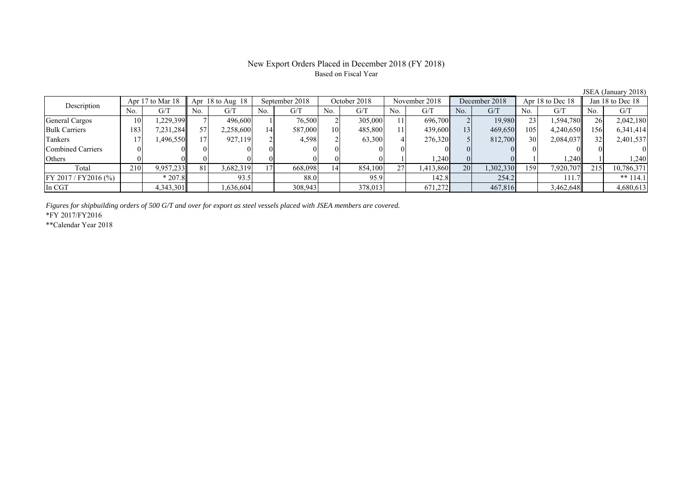## New Export Orders Placed in December 2018 (FY 2018) Based on Fiscal Year

JSEA (January 2018)

| Description              |     | Apr 17 to Mar 18 |     | September 2018<br>Apr $18$ to Aug $18$ |     |         | October 2018 |         | November 2018 |           | December 2018 |           | Apr 18 to Dec 18 |           | Jan 18 to Dec 18 |            |
|--------------------------|-----|------------------|-----|----------------------------------------|-----|---------|--------------|---------|---------------|-----------|---------------|-----------|------------------|-----------|------------------|------------|
|                          | No. | G/T              | No. | G/T                                    | No. | G/T     | No.          | G/T     | No.           | G/T       | No.           | G/T       | No.              | G/T       | No.              | G/T        |
| General Cargos           | 10  | ,229,399         |     | 496,600                                |     | 76,500  |              | 305,000 |               | 696,700   |               | 19,980    | 23               | 1,594,780 | 26               | 2,042,180  |
| <b>Bulk Carriers</b>     | 183 | 7,231,284        |     | 2,258,600                              | 14  | 587,000 | 10           | 485,800 |               | 439,600   | 131           | 469,650   | 105              | 4,240,650 | 156              | 6,341,414  |
| Tankers                  |     | 1,496,550        |     | 927,119                                |     | 4,598   |              | 63,300  |               | 276,320   |               | 812,700   | 30               | 2,084,037 | 32               | 2,401,537  |
| <b>Combined Carriers</b> |     |                  |     |                                        |     |         |              |         |               |           |               |           |                  |           |                  |            |
| Others                   |     |                  |     |                                        |     |         |              |         |               | 1,240     |               |           |                  | .240      |                  | ,240       |
| Total                    | 210 | 9,957,233        | 81  | 3,682,319                              |     | 668,098 | 14           | 854,100 | 27            | 1,413,860 | 20            | 1,302,330 | 1591             | 7,920,707 | 215              | 10,786,371 |
| $FY 2017 / FY 2016$ (%)  |     | $*207.8$         |     | 93.5                                   |     | 88.0    |              | 95.9    |               | 142.8     |               | 254.2     |                  | 111.7     |                  | ** $114.1$ |
| In CGT                   |     | 4,343,301        |     | .636,604                               |     | 308,943 |              | 378,013 |               | 671,272   |               | 467,816   |                  | 3,462,648 |                  | 4,680,613  |

*Figures for shipbuilding orders of 500 G/T and over for export as steel vessels placed with JSEA members are covered.*

\*FY 2017/FY2016

\*\*Calendar Year 2018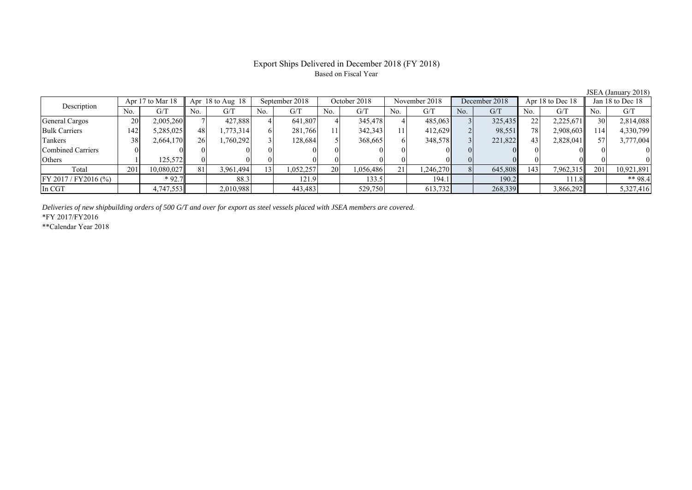# Export Ships Delivered in December 2018 (FY 2018) Based on Fiscal Year

| Description             |     | Apr 17 to Mar 18 | Apr $18$ to Aug $18$ |           | September 2018 |           | October 2018 |           | November 2018 |           | December 2018 |         | Apr 18 to Dec 18 |           | Jan 18 to Dec 18 |            |
|-------------------------|-----|------------------|----------------------|-----------|----------------|-----------|--------------|-----------|---------------|-----------|---------------|---------|------------------|-----------|------------------|------------|
|                         | No. | G/T              | No.                  | G/T       | No.            | G/T       | No.          | G/T       | No.           | G/T       | No.           | G/T     | No.              | G/T       | No.              | G/T        |
| <b>General Cargos</b>   | 20  | 2,005,260        |                      | 427,888   |                | 641,807   |              | 345,478   |               | 485,063   |               | 325,435 | 22               | 2,225,671 | 30               | 2,814,088  |
| <b>Bulk Carriers</b>    | 142 | 5,285,025        | 48                   | .773.314  |                | 281,766   | 11           | 342,343   | 111           | 412,629   |               | 98,551  | 78               | 2,908,603 | 114              | 4,330,799  |
| Tankers                 | 38  | 2,664,170        | 26                   | 1,760,292 |                | 128.684   |              | 368,665   | 61            | 348,578   |               | 221,822 | 43               | 2,828,041 |                  | 3,777,004  |
| Combined Carriers       |     |                  |                      |           |                |           |              |           |               |           |               |         |                  |           |                  |            |
| Others                  |     | 125,572          |                      |           |                |           |              |           |               |           |               |         |                  |           |                  |            |
| Total                   | 201 | 10,080,027       | 81                   | 3,961,494 | 3.             | 1,052,257 | <b>20</b>    | 1,056,486 | 21            | 1,246,270 |               | 645,808 | 143              | 7,962,315 | 201              | 10,921,891 |
| $FY 2017 / FY 2016$ (%) |     | $*92.7$          |                      | 88.3      |                | 121.9     |              | 133.5     |               | 194.1     |               | 190.2   |                  | 111.8     |                  | ** $98.4$  |
| In CGT                  |     | 4,747,553        |                      | 2,010,988 |                | 443,483   |              | 529,750   |               | 613,732   |               | 268,339 |                  | 3,866,292 |                  | 5,327,416  |

*Deliveries of new shipbuilding orders of 500 G/T and over for export as steel vessels placed with JSEA members are covered.*

\*FY 2017/FY2016

\*\*Calendar Year 2018

JSEA (January 2018)